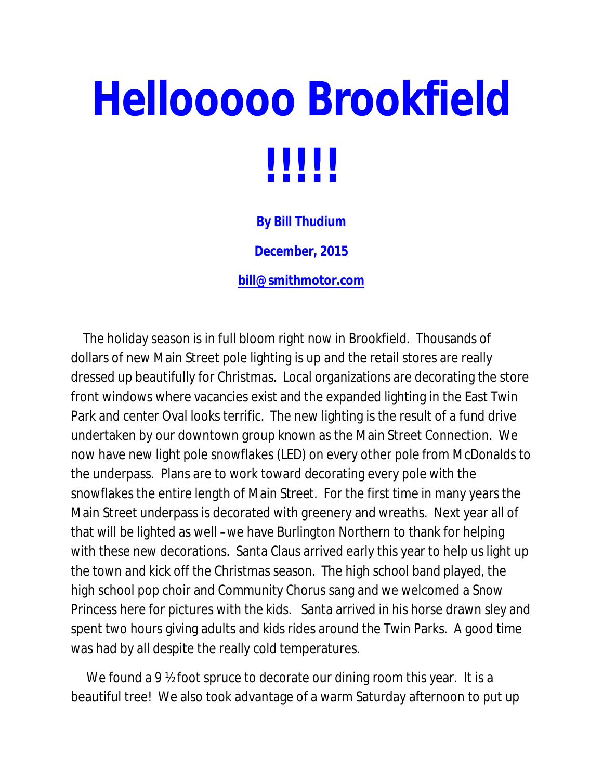## **Hellooooo Brookfield !!!!!**

**By Bill Thudium**

**December, 2015**

**bill@smithmotor.com**

The holiday season is in full bloom right now in Brookfield. Thousands of dollars of new Main Street pole lighting is up and the retail stores are really dressed up beautifully for Christmas. Local organizations are decorating the store front windows where vacancies exist and the expanded lighting in the East Twin Park and center Oval looks terrific. The new lighting is the result of a fund drive undertaken by our downtown group known as the Main Street Connection. We now have new light pole snowflakes (LED) on every other pole from McDonalds to the underpass. Plans are to work toward decorating every pole with the snowflakes the entire length of Main Street. For the first time in many years the Main Street underpass is decorated with greenery and wreaths. Next year all of that will be lighted as well –we have Burlington Northern to thank for helping with these new decorations. Santa Claus arrived early this year to help us light up the town and kick off the Christmas season. The high school band played, the high school pop choir and Community Chorus sang and we welcomed a Snow Princess here for pictures with the kids. Santa arrived in his horse drawn sley and spent two hours giving adults and kids rides around the Twin Parks. A good time was had by all despite the really cold temperatures.

We found a 9  $\frac{1}{2}$  foot spruce to decorate our dining room this year. It is a beautiful tree! We also took advantage of a warm Saturday afternoon to put up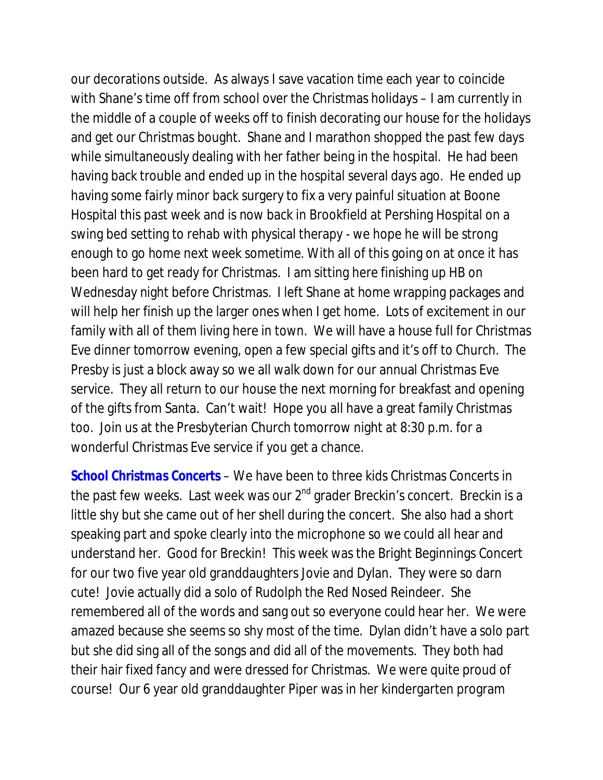our decorations outside. As always I save vacation time each year to coincide with Shane's time off from school over the Christmas holidays – I am currently in the middle of a couple of weeks off to finish decorating our house for the holidays and get our Christmas bought. Shane and I marathon shopped the past few days while simultaneously dealing with her father being in the hospital. He had been having back trouble and ended up in the hospital several days ago. He ended up having some fairly minor back surgery to fix a very painful situation at Boone Hospital this past week and is now back in Brookfield at Pershing Hospital on a swing bed setting to rehab with physical therapy - we hope he will be strong enough to go home next week sometime. With all of this going on at once it has been hard to get ready for Christmas. I am sitting here finishing up HB on Wednesday night before Christmas. I left Shane at home wrapping packages and will help her finish up the larger ones when I get home. Lots of excitement in our family with all of them living here in town. We will have a house full for Christmas Eve dinner tomorrow evening, open a few special gifts and it's off to Church. The Presby is just a block away so we all walk down for our annual Christmas Eve service. They all return to our house the next morning for breakfast and opening of the gifts from Santa. Can't wait! Hope you all have a great family Christmas too. Join us at the Presbyterian Church tomorrow night at 8:30 p.m. for a wonderful Christmas Eve service if you get a chance.

*School Christmas Concerts* – We have been to three kids Christmas Concerts in the past few weeks. Last week was our  $2<sup>nd</sup>$  grader Breckin's concert. Breckin is a little shy but she came out of her shell during the concert. She also had a short speaking part and spoke clearly into the microphone so we could all hear and understand her. Good for Breckin! This week was the Bright Beginnings Concert for our two five year old granddaughters Jovie and Dylan. They were so darn cute! Jovie actually did a solo of Rudolph the Red Nosed Reindeer. She remembered all of the words and sang out so everyone could hear her. We were amazed because she seems so shy most of the time. Dylan didn't have a solo part but she did sing all of the songs and did all of the movements. They both had their hair fixed fancy and were dressed for Christmas. We were quite proud of course! Our 6 year old granddaughter Piper was in her kindergarten program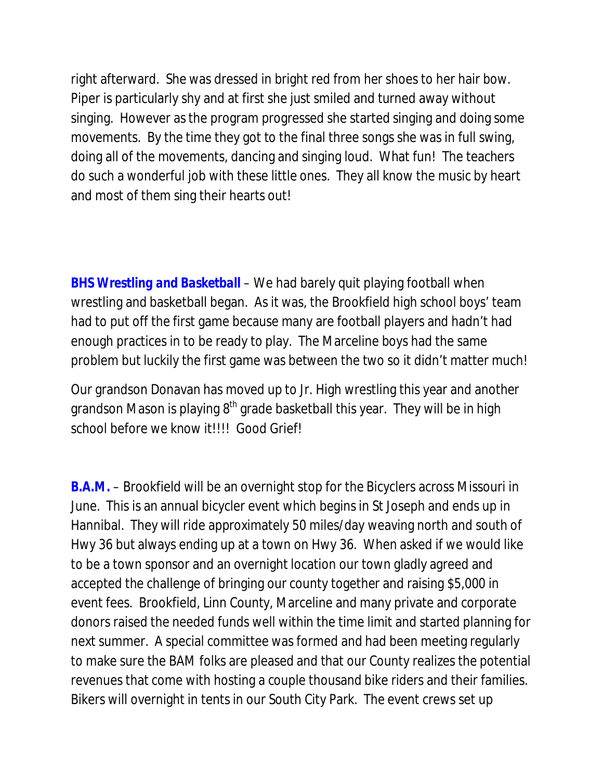right afterward. She was dressed in bright red from her shoes to her hair bow. Piper is particularly shy and at first she just smiled and turned away without singing. However as the program progressed she started singing and doing some movements. By the time they got to the final three songs she was in full swing, doing all of the movements, dancing and singing loud. What fun! The teachers do such a wonderful job with these little ones. They all know the music by heart and most of them sing their hearts out!

*BHS Wrestling and Basketball* – We had barely quit playing football when wrestling and basketball began. As it was, the Brookfield high school boys' team had to put off the first game because many are football players and hadn't had enough practices in to be ready to play. The Marceline boys had the same problem but luckily the first game was between the two so it didn't matter much!

Our grandson Donavan has moved up to Jr. High wrestling this year and another grandson Mason is playing  $8<sup>th</sup>$  grade basketball this year. They will be in high school before we know it!!!! Good Grief!

*B.A.M.* – Brookfield will be an overnight stop for the Bicyclers across Missouri in June. This is an annual bicycler event which begins in St Joseph and ends up in Hannibal. They will ride approximately 50 miles/day weaving north and south of Hwy 36 but always ending up at a town on Hwy 36. When asked if we would like to be a town sponsor and an overnight location our town gladly agreed and accepted the challenge of bringing our county together and raising \$5,000 in event fees. Brookfield, Linn County, Marceline and many private and corporate donors raised the needed funds well within the time limit and started planning for next summer. A special committee was formed and had been meeting regularly to make sure the BAM folks are pleased and that our County realizes the potential revenues that come with hosting a couple thousand bike riders and their families. Bikers will overnight in tents in our South City Park. The event crews set up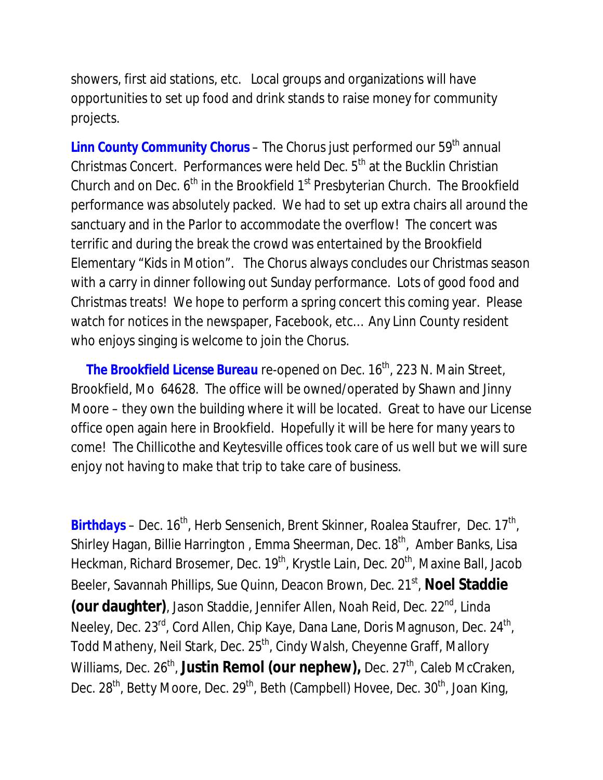showers, first aid stations, etc. Local groups and organizations will have opportunities to set up food and drink stands to raise money for community projects.

Linn County Community Chorus – The Chorus just performed our 59<sup>th</sup> annual Christmas Concert. Performances were held Dec. 5<sup>th</sup> at the Bucklin Christian Church and on Dec.  $6<sup>th</sup>$  in the Brookfield  $1<sup>st</sup>$  Presbyterian Church. The Brookfield performance was absolutely packed. We had to set up extra chairs all around the sanctuary and in the Parlor to accommodate the overflow! The concert was terrific and during the break the crowd was entertained by the Brookfield Elementary "Kids in Motion". The Chorus always concludes our Christmas season with a carry in dinner following out Sunday performance. Lots of good food and Christmas treats! We hope to perform a spring concert this coming year. Please watch for notices in the newspaper, Facebook, etc… Any Linn County resident who enjoys singing is welcome to join the Chorus.

The Brookfield License Bureau re-opened on Dec. 16<sup>th</sup>, 223 N. Main Street, Brookfield, Mo 64628. The office will be owned/operated by Shawn and Jinny Moore – they own the building where it will be located. Great to have our License office open again here in Brookfield. Hopefully it will be here for many years to come! The Chillicothe and Keytesville offices took care of us well but we will sure enjoy not having to make that trip to take care of business.

Birthdays – Dec. 16<sup>th</sup>, Herb Sensenich, Brent Skinner, Roalea Staufrer, Dec. 17<sup>th</sup>, Shirley Hagan, Billie Harrington, Emma Sheerman, Dec. 18<sup>th</sup>, Amber Banks, Lisa Heckman, Richard Brosemer, Dec. 19<sup>th</sup>, Krystle Lain, Dec. 20<sup>th</sup>, Maxine Ball, Jacob Beeler, Savannah Phillips, Sue Quinn, Deacon Brown, Dec. 21<sup>st</sup>, Noel Staddie **(our daughter)**, Jason Staddie, Jennifer Allen, Noah Reid, Dec. 22nd, Linda Neeley, Dec. 23<sup>rd</sup>, Cord Allen, Chip Kaye, Dana Lane, Doris Magnuson, Dec. 24<sup>th</sup>, Todd Matheny, Neil Stark, Dec. 25<sup>th</sup>, Cindy Walsh, Cheyenne Graff, Mallory Williams, Dec. 26<sup>th</sup>, Justin Remol (our nephew), Dec. 27<sup>th</sup>, Caleb McCraken, Dec.  $28<sup>th</sup>$ , Betty Moore, Dec.  $29<sup>th</sup>$ , Beth (Campbell) Hovee, Dec.  $30<sup>th</sup>$ , Joan King,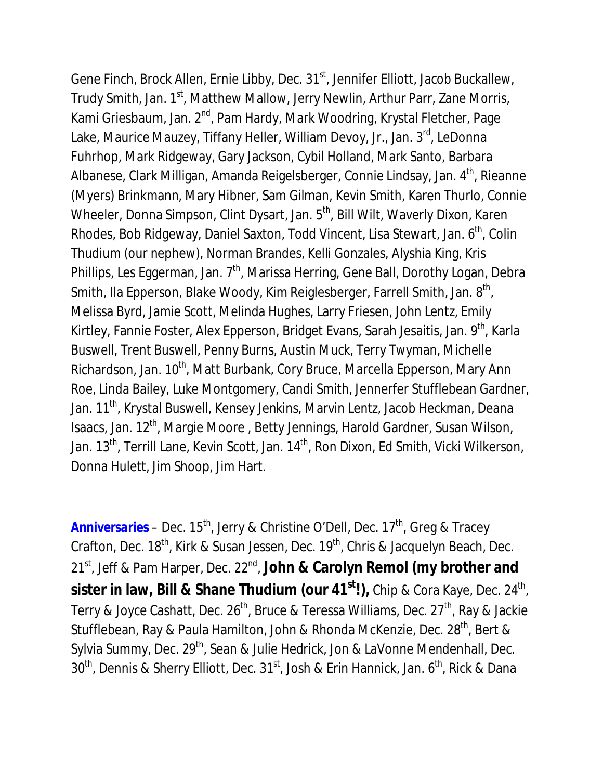Gene Finch, Brock Allen, Ernie Libby, Dec. 31<sup>st</sup>, Jennifer Elliott, Jacob Buckallew, Trudy Smith, Jan. 1<sup>st</sup>, Matthew Mallow, Jerry Newlin, Arthur Parr, Zane Morris, Kami Griesbaum, Jan. 2<sup>nd</sup>, Pam Hardy, Mark Woodring, Krystal Fletcher, Page Lake, Maurice Mauzey, Tiffany Heller, William Devoy, Jr., Jan. 3<sup>rd</sup>, LeDonna Fuhrhop, Mark Ridgeway, Gary Jackson, Cybil Holland, Mark Santo, Barbara Albanese, Clark Milligan, Amanda Reigelsberger, Connie Lindsay, Jan. 4<sup>th</sup>, Rieanne (Myers) Brinkmann, Mary Hibner, Sam Gilman, Kevin Smith, Karen Thurlo, Connie Wheeler, Donna Simpson, Clint Dysart, Jan. 5<sup>th</sup>, Bill Wilt, Waverly Dixon, Karen Rhodes, Bob Ridgeway, Daniel Saxton, Todd Vincent, Lisa Stewart, Jan. 6<sup>th</sup>, Colin Thudium (our nephew), Norman Brandes, Kelli Gonzales, Alyshia King, Kris Phillips, Les Eggerman, Jan. 7<sup>th</sup>, Marissa Herring, Gene Ball, Dorothy Logan, Debra Smith, Ila Epperson, Blake Woody, Kim Reiglesberger, Farrell Smith, Jan. 8<sup>th</sup>, Melissa Byrd, Jamie Scott, Melinda Hughes, Larry Friesen, John Lentz, Emily Kirtley, Fannie Foster, Alex Epperson, Bridget Evans, Sarah Jesaitis, Jan. 9<sup>th</sup>, Karla Buswell, Trent Buswell, Penny Burns, Austin Muck, Terry Twyman, Michelle Richardson, Jan. 10<sup>th</sup>, Matt Burbank, Cory Bruce, Marcella Epperson, Mary Ann Roe, Linda Bailey, Luke Montgomery, Candi Smith, Jennerfer Stufflebean Gardner, Jan. 11<sup>th</sup>, Krystal Buswell, Kensey Jenkins, Marvin Lentz, Jacob Heckman, Deana Isaacs, Jan. 12th, Margie Moore , Betty Jennings, Harold Gardner, Susan Wilson, Jan. 13<sup>th</sup>, Terrill Lane, Kevin Scott, Jan. 14<sup>th</sup>, Ron Dixon, Ed Smith, Vicki Wilkerson, Donna Hulett, Jim Shoop, Jim Hart.

Anniversaries - Dec. 15<sup>th</sup>, Jerry & Christine O'Dell, Dec. 17<sup>th</sup>, Greg & Tracey Crafton, Dec. 18<sup>th</sup>, Kirk & Susan Jessen, Dec. 19<sup>th</sup>, Chris & Jacquelyn Beach, Dec. 21st, Jeff & Pam Harper, Dec. 22nd, **John & Carolyn Remol (my brother and sister in law, Bill & Shane Thudium (our 41st!),** Chip & Cora Kaye, Dec. 24th, Terry & Joyce Cashatt, Dec. 26<sup>th</sup>, Bruce & Teressa Williams, Dec. 27<sup>th</sup>, Ray & Jackie Stufflebean, Ray & Paula Hamilton, John & Rhonda McKenzie, Dec. 28<sup>th</sup>, Bert & Sylvia Summy, Dec. 29<sup>th</sup>, Sean & Julie Hedrick, Jon & LaVonne Mendenhall, Dec.  $30<sup>th</sup>$ , Dennis & Sherry Elliott, Dec.  $31<sup>st</sup>$ , Josh & Erin Hannick, Jan.  $6<sup>th</sup>$ , Rick & Dana